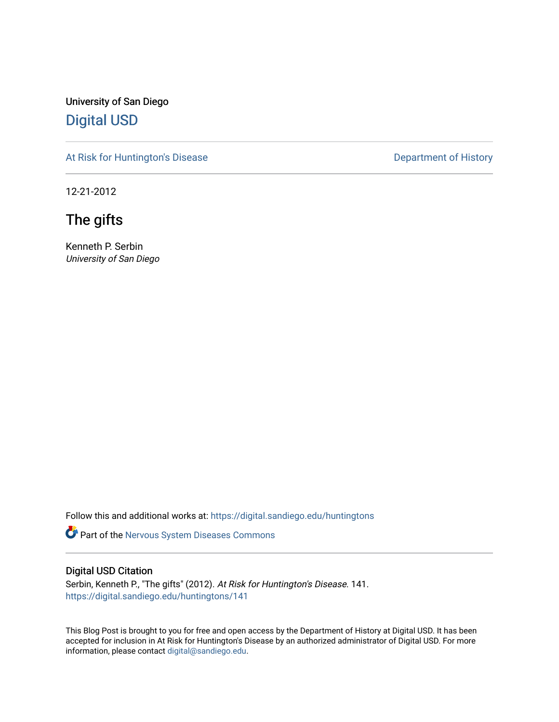University of San Diego [Digital USD](https://digital.sandiego.edu/)

[At Risk for Huntington's Disease](https://digital.sandiego.edu/huntingtons) **Department of History** Department of History

12-21-2012

The gifts

Kenneth P. Serbin University of San Diego

Follow this and additional works at: [https://digital.sandiego.edu/huntingtons](https://digital.sandiego.edu/huntingtons?utm_source=digital.sandiego.edu%2Fhuntingtons%2F141&utm_medium=PDF&utm_campaign=PDFCoverPages)

**C** Part of the [Nervous System Diseases Commons](http://network.bepress.com/hgg/discipline/928?utm_source=digital.sandiego.edu%2Fhuntingtons%2F141&utm_medium=PDF&utm_campaign=PDFCoverPages)

#### Digital USD Citation

Serbin, Kenneth P., "The gifts" (2012). At Risk for Huntington's Disease. 141. [https://digital.sandiego.edu/huntingtons/141](https://digital.sandiego.edu/huntingtons/141?utm_source=digital.sandiego.edu%2Fhuntingtons%2F141&utm_medium=PDF&utm_campaign=PDFCoverPages)

This Blog Post is brought to you for free and open access by the Department of History at Digital USD. It has been accepted for inclusion in At Risk for Huntington's Disease by an authorized administrator of Digital USD. For more information, please contact [digital@sandiego.edu.](mailto:digital@sandiego.edu)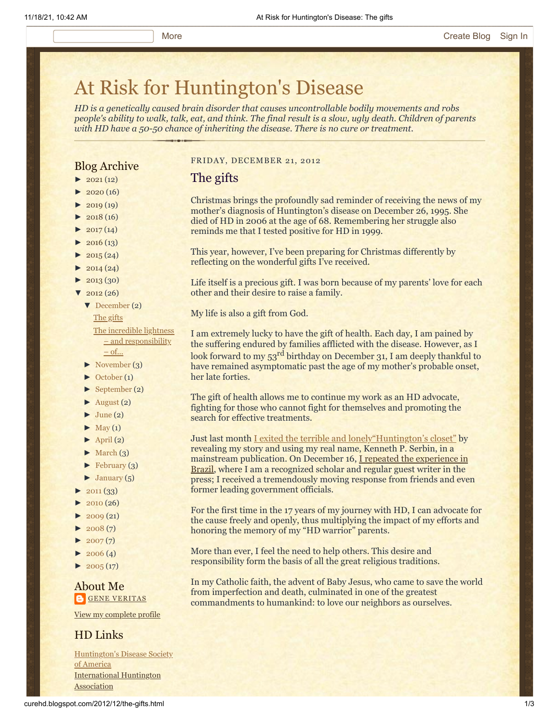# [At Risk for Huntington's Disease](http://curehd.blogspot.com/)

*HD is a genetically caused brain disorder that causes uncontrollable bodily movements and robs people's ability to walk, talk, eat, and think. The final result is a slow, ugly death. Children of parents with HD have a 50-50 chance of inheriting the disease. There is no cure or treatment.*

### Blog Archive

- $\blacktriangleright$  [2021](http://curehd.blogspot.com/2021/)(12)
- $2020(16)$  $2020(16)$
- $2019(19)$  $2019(19)$
- $\blacktriangleright$  [2018](http://curehd.blogspot.com/2018/) (16)
- $2017(14)$  $2017(14)$
- $2016(13)$  $2016(13)$
- $\blacktriangleright$  [2015](http://curehd.blogspot.com/2015/) (24)
- $\blacktriangleright$  [2014](http://curehd.blogspot.com/2014/) (24)
- $\blacktriangleright$  [2013](http://curehd.blogspot.com/2013/) (30)
- $2012(26)$  $2012(26)$ 
	- [▼](javascript:void(0)) [December](http://curehd.blogspot.com/2012/12/) (2)

The [gifts](http://curehd.blogspot.com/2012/12/the-gifts.html)

The incredible lightness – and [responsibility](http://curehd.blogspot.com/2012/12/the-incredible-lightness-and.html) – of...

- [►](javascript:void(0)) [November](http://curehd.blogspot.com/2012/11/) (3)
- [►](javascript:void(0)) [October](http://curehd.blogspot.com/2012/10/) (1)
- $\blacktriangleright$  [September](http://curehd.blogspot.com/2012/09/) (2)
- $\blacktriangleright$  [August](http://curehd.blogspot.com/2012/08/) (2)
- $\blacktriangleright$  [June](http://curehd.blogspot.com/2012/06/) (2)
- $\blacktriangleright$  [May](http://curehd.blogspot.com/2012/05/) (1)
- $\blacktriangleright$  [April](http://curehd.blogspot.com/2012/04/) (2)
- $\blacktriangleright$  [March](http://curehd.blogspot.com/2012/03/) (3)
- [►](javascript:void(0)) [February](http://curehd.blogspot.com/2012/02/) (3)
- $\blacktriangleright$  [January](http://curehd.blogspot.com/2012/01/) (5)
- $2011(33)$  $2011(33)$
- $2010(26)$  $2010(26)$
- $2009(21)$  $2009(21)$
- $2008(7)$  $2008(7)$
- $2007(7)$  $2007(7)$
- $\blacktriangleright$  [2006](http://curehd.blogspot.com/2006/) (4)
- $\blacktriangleright$  [2005](http://curehd.blogspot.com/2005/) (17)

#### About Me **GENE [VERITAS](https://www.blogger.com/profile/10911736205741688185)**

View my [complete](https://www.blogger.com/profile/10911736205741688185) profile

#### HD Links

[Huntington's](http://www.hdsa.org/) Disease Society of America [International](http://www.huntington-assoc.com/) Huntington **Association** 

#### FRIDAY, DECEMBER 21, 2012

#### The gifts

Christmas brings the profoundly sad reminder of receiving the news of my mother's diagnosis of Huntington's disease on December 26, 1995. She died of HD in 2006 at the age of 68. Remembering her struggle also reminds me that I tested positive for HD in 1999.

This year, however, I've been preparing for Christmas differently by reflecting on the wonderful gifts I've received.

Life itself is a precious gift. I was born because of my parents' love for each other and their desire to raise a family.

My life is also a gift from God.

I am extremely lucky to have the gift of health. Each day, I am pained by the suffering endured by families afflicted with the disease. However, as I look forward to my 53<sup>rd</sup> birthday on December 31, I am deeply thankful to have remained asymptomatic past the age of my mother's probable onset, her late forties.

The gift of health allows me to continue my work as an HD advocate, fighting for those who cannot fight for themselves and promoting the search for effective treatments.

Just last month [I exited the terrible and lonely"Huntington's closet"](http://curehd.blogspot.com/2012/11/the-definitive-step-out-of-huntingtons.html) by revealing my story and using my real name, Kenneth P. Serbin, in a [mainstream publication. On December 16, I repeated the experience in](http://www1.folha.uol.com.br/ilustrissima/1201436-a-corrida-contra-o-relogio-genetico.shtml) Brazil, where I am a recognized scholar and regular guest writer in the press; I received a tremendously moving response from friends and even former leading government officials.

For the first time in the 17 years of my journey with HD, I can advocate for the cause freely and openly, thus multiplying the impact of my efforts and honoring the memory of my "HD warrior" parents.

More than ever, I feel the need to help others. This desire and responsibility form the basis of all the great religious traditions.

In my Catholic faith, the advent of Baby Jesus, who came to save the world from imperfection and death, culminated in one of the greatest commandments to humankind: to love our neighbors as ourselves.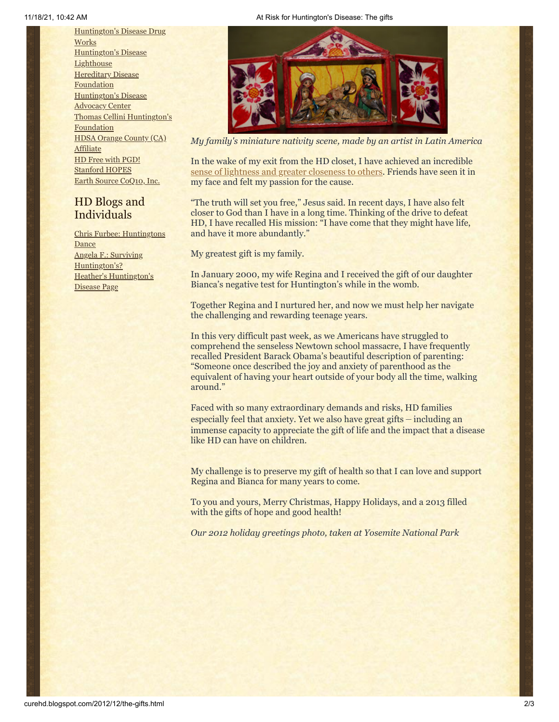[Huntington's](http://hddrugworks.org/) Disease Drug **Works** [Huntington's](http://www.hdlighthouse.org/) Disease **Lighthouse Hereditary Disease [Foundation](http://www.hdfoundation.org/)** [Huntington's](http://www.hdac.org/) Disease Advocacy Center Thomas [Cellini Huntington's](http://www.ourtchfoundation.org/) Foundation HDSA Orange County (CA) **[Affiliate](http://www.hdsaoc.org/)** HD Free with [PGD!](http://www.hdfreewithpgd.com/) [Stanford](http://www.stanford.edu/group/hopes/) HOPES Earth Source [CoQ10,](http://www.escoq10.com/) Inc.

## HD Blogs and Individuals

Chris Furbee: [Huntingtons](http://www.huntingtonsdance.org/) **Dance** Angela F.: Surviving [Huntington's?](http://survivinghuntingtons.blogspot.com/) Heather's [Huntington's](http://heatherdugdale.angelfire.com/) Disease Page



*My family's miniature nativity scene, made by an artist in Latin America*

In the wake of my exit from the HD closet, I have achieved an incredible [sense of lightness and greater closeness to others](http://curehd.blogspot.com/2012/12/the-incredible-lightness-and.html). Friends have seen it in my face and felt my passion for the cause.

"The truth will set you free," Jesus said. In recent days, I have also felt closer to God than I have in a long time. Thinking of the drive to defeat HD, I have recalled His mission: "I have come that they might have life, and have it more abundantly."

My greatest gift is my family.

In January 2000, my wife Regina and I received the gift of our daughter Bianca's negative test for Huntington's while in the womb.

Together Regina and I nurtured her, and now we must help her navigate the challenging and rewarding teenage years.

In this very difficult past week, as we Americans have struggled to comprehend the senseless Newtown school massacre, I have frequently recalled President Barack Obama's beautiful description of parenting: "Someone once described the joy and anxiety of parenthood as the equivalent of having your heart outside of your body all the time, walking around."

Faced with so many extraordinary demands and risks, HD families especially feel that anxiety. Yet we also have great gifts – including an immense capacity to appreciate the gift of life and the impact that a disease like HD can have on children.

My challenge is to preserve my gift of health so that I can love and support Regina and Bianca for many years to come.

To you and yours, Merry Christmas, Happy Holidays, and a 2013 filled with the gifts of hope and good health!

*Our 2012 holiday greetings photo, taken at Yosemite National Park*